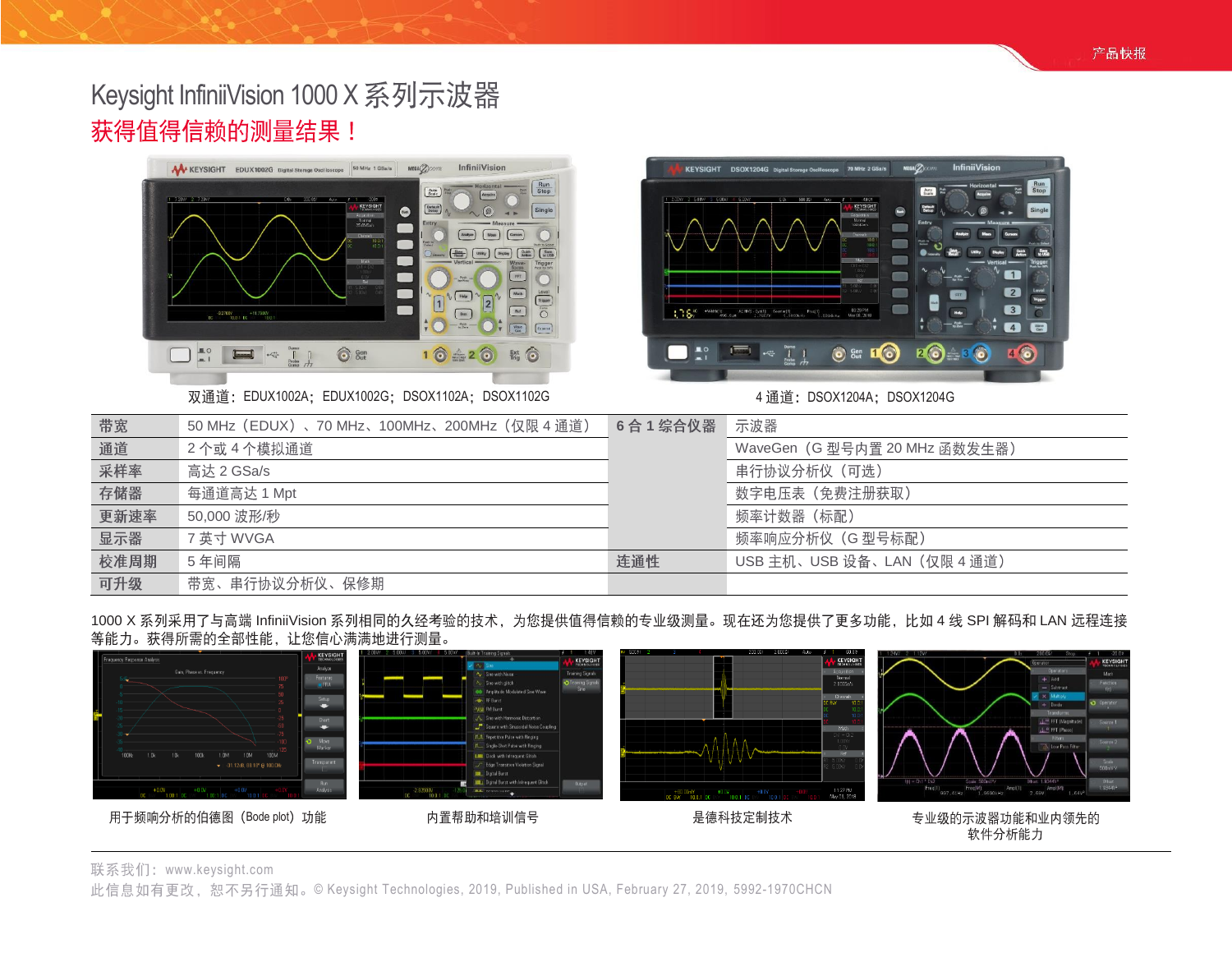# Keysight InfiniiVision 1000 X 系列示波器 获得值得信赖的测量结果!



双通道: EDUX1002A; EDUX1002G; DSOX1102A; DSOX1102G 4 通道: DSOX1204A; DSOX1204G



| 带宽   | 50 MHz(EDUX)、70 MHz、100MHz、200MHz(仅限 4 通道) | 6合1综合仪器 | 示波器                          |
|------|--------------------------------------------|---------|------------------------------|
| 通道   | 2个或4个模拟通道                                  |         | WaveGen (G型号内置 20 MHz 函数发生器) |
| 采样率  | 高达 2 GSa/s                                 |         | 串行协议分析仪(可选)                  |
| 存储器  | 每通道高达 1 Mpt                                |         | 数字电压表 (免费注册获取)               |
| 更新速率 | 50,000 波形/秒                                |         | 频率计数器(标配)                    |
| 显示器  | 7 英寸 WVGA                                  |         | 频率响应分析仪 (G 型号标配)             |
| 校准周期 | 5年间隔                                       | 连通性     | USB 主机、USB 设备、LAN (仅限 4 通道)  |
| 可升级  | 带宽、串行协议分析仪、保修期                             |         |                              |

1000 X 系列采用了与高端 InfiniiVision 系列相同的久经考验的技术,为您提供值得信赖的专业级测量。现在还为您提供了更多功能,比如 4 线 SPI 解码和 LAN 远程连接<br>等能力。获得所需的全部性能,让您信心满满地进行测量。



联系我们: [www.keysight.com](http://www.keysight.com/)

此信息如有更改, 恕不另行通知。© Keysight Technologies, 2019, Published in USA, February 27, 2019, 5992-1970CHCN